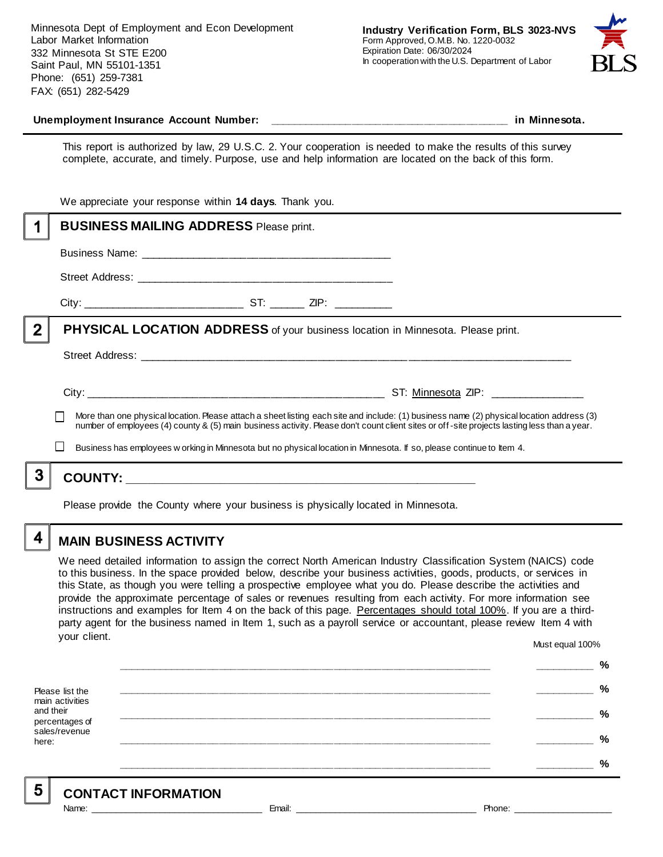Minnesota Dept of Employment and Econ Development Labor Market Information 332 Minnesota St STE E200 Saint Paul, MN 55101-1351 Phone: (651) 259-7381 FAX: (651) 282-5429



#### **Unemployment Insurance Account Number: \_\_\_\_\_\_\_\_\_\_\_\_\_\_\_\_\_\_\_\_\_\_\_\_\_\_\_\_\_\_\_\_\_\_\_\_\_\_\_\_ in Minnesota.**

This report is authorized by law, 29 U.S.C. 2. Your cooperation is needed to make the results of this survey complete, accurate, and timely. Purpose, use and help information are located on the back of this form.

|             | We appreciate your response within 14 days. Thank you.                                                                                      |                                                                                                                                           |
|-------------|---------------------------------------------------------------------------------------------------------------------------------------------|-------------------------------------------------------------------------------------------------------------------------------------------|
|             | <b>BUSINESS MAILING ADDRESS Please print.</b>                                                                                               |                                                                                                                                           |
|             |                                                                                                                                             |                                                                                                                                           |
|             |                                                                                                                                             |                                                                                                                                           |
|             |                                                                                                                                             |                                                                                                                                           |
| $\mathbf 2$ | <b>PHYSICAL LOCATION ADDRESS</b> of your business location in Minnesota. Please print.                                                      |                                                                                                                                           |
|             |                                                                                                                                             |                                                                                                                                           |
|             |                                                                                                                                             | More than one physical location. Please attach a sheet listing each site and include: (1) business name (2) physical location address (3) |
|             | number of employees (4) county & (5) main business activity. Please don't count client sites or off-site projects lasting less than a year. |                                                                                                                                           |
|             |                                                                                                                                             | Business has employees w orking in Minnesota but no physical location in Minnesota. If so, please continue to Item 4.                     |
|             |                                                                                                                                             |                                                                                                                                           |
|             |                                                                                                                                             |                                                                                                                                           |

Please provide the County where your business is physically located in Minnesota.

## 4

### **MAIN BUSINESS ACTIVITY**

We need detailed information to assign the correct North American Industry Classification System (NAICS) code to this business. In the space provided below, describe your business activities, goods, products, or services in this State, as though you were telling a prospective employee what you do. Please describe the activities and provide the approximate percentage of sales or revenues resulting from each activity. For more information see instructions and examples for Item 4 on the back of this page. Percentages should total 100%. If you are a thirdparty agent for the business named in Item 1, such as a payroll service or accountant, please review Item 4 with your client. Must equal 100%

Please list the main activities and their percentages of sales/revenue here: **\_\_\_\_\_\_\_\_\_\_\_\_\_\_\_\_\_\_\_\_\_\_\_\_\_\_\_\_\_\_\_\_\_\_\_\_\_\_\_\_\_\_\_\_\_\_\_\_\_\_\_\_\_\_\_\_\_\_\_\_\_\_ \_\_\_\_\_\_\_\_\_\_ % \_\_\_\_\_\_\_\_\_\_\_\_\_\_\_\_\_\_\_\_\_\_\_\_\_\_\_\_\_\_\_\_\_\_\_\_\_\_\_\_\_\_\_\_\_\_\_\_\_\_\_\_\_\_\_\_\_\_\_\_\_\_ \_\_\_\_\_\_\_\_\_\_ % \_\_\_\_\_\_\_\_\_\_\_\_\_\_\_\_\_\_\_\_\_\_\_\_\_\_\_\_\_\_\_\_\_\_\_\_\_\_\_\_\_\_\_\_\_\_\_\_\_\_\_\_\_\_\_\_\_\_\_\_\_\_ \_\_\_\_\_\_\_\_\_\_ % \_\_\_\_\_\_\_\_\_\_\_\_\_\_\_\_\_\_\_\_\_\_\_\_\_\_\_\_\_\_\_\_\_\_\_\_\_\_\_\_\_\_\_\_\_\_\_\_\_\_\_\_\_\_\_\_\_\_\_\_\_\_ \_\_\_\_\_\_\_\_\_\_ % \_\_\_\_\_\_\_\_\_\_\_\_\_\_\_\_\_\_\_\_\_\_\_\_\_\_\_\_\_\_\_\_\_\_\_\_\_\_\_\_\_\_\_\_\_\_\_\_\_\_\_\_\_\_\_\_\_\_\_\_\_\_ \_\_\_\_\_\_\_\_\_\_ %**

5